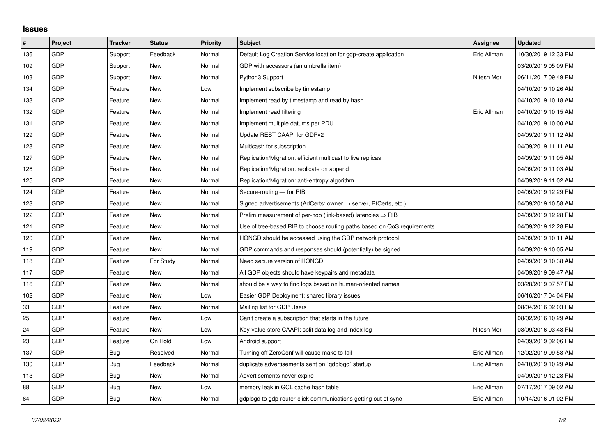## **Issues**

| $\sharp$ | <b>Project</b> | <b>Tracker</b> | <b>Status</b> | <b>Priority</b> | <b>Subject</b>                                                             | Assignee    | <b>Updated</b>      |
|----------|----------------|----------------|---------------|-----------------|----------------------------------------------------------------------------|-------------|---------------------|
| 136      | <b>GDP</b>     | Support        | Feedback      | Normal          | Default Log Creation Service location for gdp-create application           | Eric Allman | 10/30/2019 12:33 PM |
| 109      | <b>GDP</b>     | Support        | <b>New</b>    | Normal          | GDP with accessors (an umbrella item)                                      |             | 03/20/2019 05:09 PM |
| 103      | <b>GDP</b>     | Support        | <b>New</b>    | Normal          | Python3 Support                                                            | Nitesh Mor  | 06/11/2017 09:49 PM |
| 134      | <b>GDP</b>     | Feature        | <b>New</b>    | Low             | Implement subscribe by timestamp                                           |             | 04/10/2019 10:26 AM |
| 133      | <b>GDP</b>     | Feature        | <b>New</b>    | Normal          | Implement read by timestamp and read by hash                               |             | 04/10/2019 10:18 AM |
| 132      | <b>GDP</b>     | Feature        | <b>New</b>    | Normal          | Implement read filtering                                                   | Eric Allman | 04/10/2019 10:15 AM |
| 131      | <b>GDP</b>     | Feature        | <b>New</b>    | Normal          | Implement multiple datums per PDU                                          |             | 04/10/2019 10:00 AM |
| 129      | <b>GDP</b>     | Feature        | <b>New</b>    | Normal          | Update REST CAAPI for GDPv2                                                |             | 04/09/2019 11:12 AM |
| 128      | <b>GDP</b>     | Feature        | <b>New</b>    | Normal          | Multicast: for subscription                                                |             | 04/09/2019 11:11 AM |
| 127      | <b>GDP</b>     | Feature        | <b>New</b>    | Normal          | Replication/Migration: efficient multicast to live replicas                |             | 04/09/2019 11:05 AM |
| 126      | <b>GDP</b>     | Feature        | <b>New</b>    | Normal          | Replication/Migration: replicate on append                                 |             | 04/09/2019 11:03 AM |
| 125      | <b>GDP</b>     | Feature        | <b>New</b>    | Normal          | Replication/Migration: anti-entropy algorithm                              |             | 04/09/2019 11:02 AM |
| 124      | <b>GDP</b>     | Feature        | New           | Normal          | Secure-routing - for RIB                                                   |             | 04/09/2019 12:29 PM |
| 123      | <b>GDP</b>     | Feature        | <b>New</b>    | Normal          | Signed advertisements (AdCerts: owner $\rightarrow$ server, RtCerts, etc.) |             | 04/09/2019 10:58 AM |
| 122      | <b>GDP</b>     | Feature        | <b>New</b>    | Normal          | Prelim measurement of per-hop (link-based) latencies $\Rightarrow$ RIB     |             | 04/09/2019 12:28 PM |
| 121      | <b>GDP</b>     | Feature        | <b>New</b>    | Normal          | Use of tree-based RIB to choose routing paths based on QoS requirements    |             | 04/09/2019 12:28 PM |
| 120      | <b>GDP</b>     | Feature        | <b>New</b>    | Normal          | HONGD should be accessed using the GDP network protocol                    |             | 04/09/2019 10:11 AM |
| 119      | <b>GDP</b>     | Feature        | <b>New</b>    | Normal          | GDP commands and responses should (potentially) be signed                  |             | 04/09/2019 10:05 AM |
| 118      | <b>GDP</b>     | Feature        | For Study     | Normal          | Need secure version of HONGD                                               |             | 04/09/2019 10:38 AM |
| 117      | GDP            | Feature        | <b>New</b>    | Normal          | All GDP objects should have keypairs and metadata                          |             | 04/09/2019 09:47 AM |
| 116      | <b>GDP</b>     | Feature        | <b>New</b>    | Normal          | should be a way to find logs based on human-oriented names                 |             | 03/28/2019 07:57 PM |
| 102      | <b>GDP</b>     | Feature        | <b>New</b>    | Low             | Easier GDP Deployment: shared library issues                               |             | 06/16/2017 04:04 PM |
| 33       | GDP            | Feature        | <b>New</b>    | Normal          | Mailing list for GDP Users                                                 |             | 08/04/2016 02:03 PM |
| 25       | <b>GDP</b>     | Feature        | <b>New</b>    | Low             | Can't create a subscription that starts in the future                      |             | 08/02/2016 10:29 AM |
| 24       | <b>GDP</b>     | Feature        | <b>New</b>    | Low             | Key-value store CAAPI: split data log and index log                        | Nitesh Mor  | 08/09/2016 03:48 PM |
| 23       | <b>GDP</b>     | Feature        | On Hold       | Low             | Android support                                                            |             | 04/09/2019 02:06 PM |
| 137      | <b>GDP</b>     | <b>Bug</b>     | Resolved      | Normal          | Turning off ZeroConf will cause make to fail                               | Eric Allman | 12/02/2019 09:58 AM |
| 130      | <b>GDP</b>     | <b>Bug</b>     | Feedback      | Normal          | duplicate advertisements sent on `gdplogd` startup                         | Eric Allman | 04/10/2019 10:29 AM |
| 113      | <b>GDP</b>     | Bug            | <b>New</b>    | Normal          | Advertisements never expire                                                |             | 04/09/2019 12:28 PM |
| 88       | <b>GDP</b>     | <b>Bug</b>     | <b>New</b>    | Low             | memory leak in GCL cache hash table                                        | Eric Allman | 07/17/2017 09:02 AM |
| 64       | <b>GDP</b>     | <b>Bug</b>     | <b>New</b>    | Normal          | gdplogd to gdp-router-click communications getting out of sync             | Eric Allman | 10/14/2016 01:02 PM |